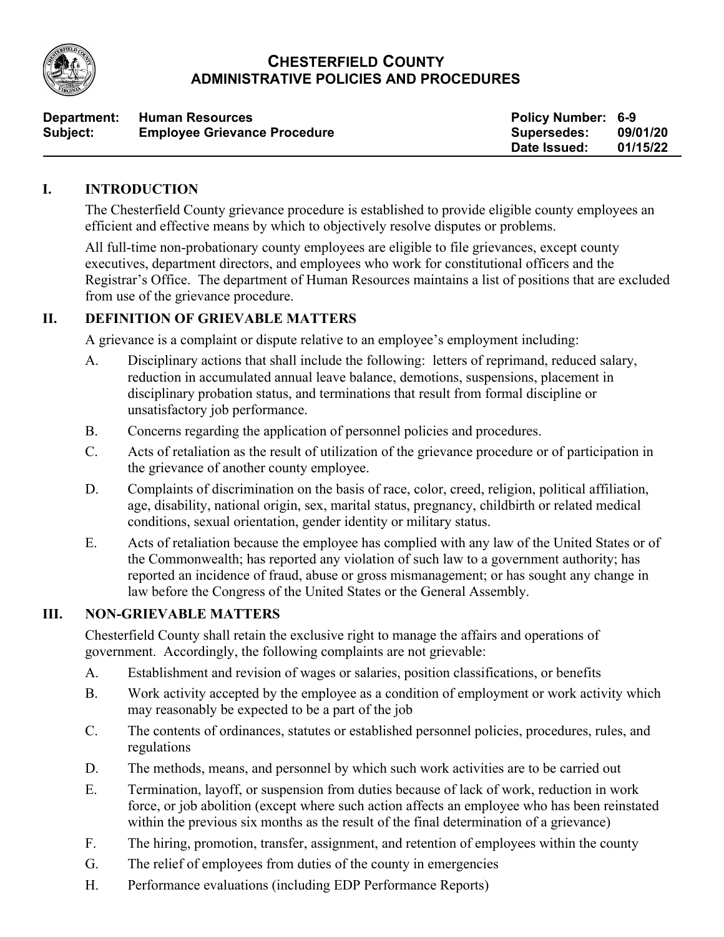

# **CHESTERFIELD COUNTY ADMINISTRATIVE POLICIES AND PROCEDURES**

| Department: | <b>Human Resources</b>              | <b>Policy Number: 6-9</b> |          |
|-------------|-------------------------------------|---------------------------|----------|
| Subject:    | <b>Employee Grievance Procedure</b> | <b>Supersedes:</b>        | 09/01/20 |
|             |                                     | Date Issued:              | 01/15/22 |

#### **I. INTRODUCTION**

The Chesterfield County grievance procedure is established to provide eligible county employees an efficient and effective means by which to objectively resolve disputes or problems.

All full-time non-probationary county employees are eligible to file grievances, except county executives, department directors, and employees who work for constitutional officers and the Registrar's Office. The department of Human Resources maintains a list of positions that are excluded from use of the grievance procedure.

# **II. DEFINITION OF GRIEVABLE MATTERS**

A grievance is a complaint or dispute relative to an employee's employment including:

- A. Disciplinary actions that shall include the following: letters of reprimand, reduced salary, reduction in accumulated annual leave balance, demotions, suspensions, placement in disciplinary probation status, and terminations that result from formal discipline or unsatisfactory job performance.
- B. Concerns regarding the application of personnel policies and procedures.
- C. Acts of retaliation as the result of utilization of the grievance procedure or of participation in the grievance of another county employee.
- D. Complaints of discrimination on the basis of race, color, creed, religion, political affiliation, age, disability, national origin, sex, marital status, pregnancy, childbirth or related medical conditions, sexual orientation, gender identity or military status.
- E. Acts of retaliation because the employee has complied with any law of the United States or of the Commonwealth; has reported any violation of such law to a government authority; has reported an incidence of fraud, abuse or gross mismanagement; or has sought any change in law before the Congress of the United States or the General Assembly.

#### **III. NON-GRIEVABLE MATTERS**

Chesterfield County shall retain the exclusive right to manage the affairs and operations of government. Accordingly, the following complaints are not grievable:

- A. Establishment and revision of wages or salaries, position classifications, or benefits
- B. Work activity accepted by the employee as a condition of employment or work activity which may reasonably be expected to be a part of the job
- C. The contents of ordinances, statutes or established personnel policies, procedures, rules, and regulations
- D. The methods, means, and personnel by which such work activities are to be carried out
- E. Termination, layoff, or suspension from duties because of lack of work, reduction in work force, or job abolition (except where such action affects an employee who has been reinstated within the previous six months as the result of the final determination of a grievance)
- F. The hiring, promotion, transfer, assignment, and retention of employees within the county
- G. The relief of employees from duties of the county in emergencies
- H. Performance evaluations (including EDP Performance Reports)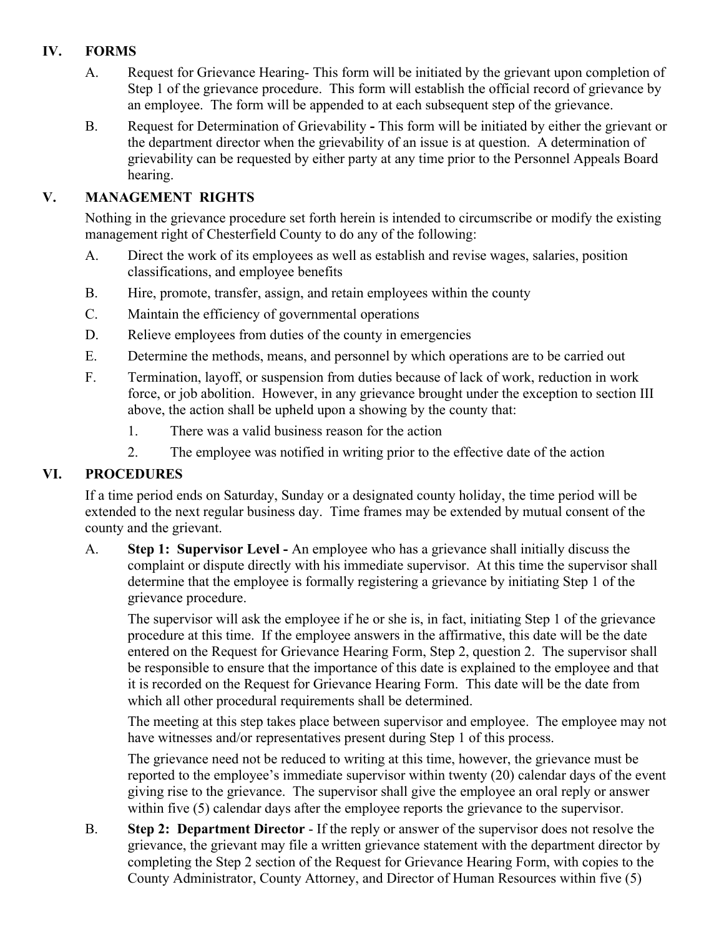# **IV. FORMS**

- A. Request for Grievance Hearing- This form will be initiated by the grievant upon completion of Step 1 of the grievance procedure. This form will establish the official record of grievance by an employee. The form will be appended to at each subsequent step of the grievance.
- B. Request for Determination of Grievability **-** This form will be initiated by either the grievant or the department director when the grievability of an issue is at question. A determination of grievability can be requested by either party at any time prior to the Personnel Appeals Board hearing.

# **V. MANAGEMENT RIGHTS**

Nothing in the grievance procedure set forth herein is intended to circumscribe or modify the existing management right of Chesterfield County to do any of the following:

- A. Direct the work of its employees as well as establish and revise wages, salaries, position classifications, and employee benefits
- B. Hire, promote, transfer, assign, and retain employees within the county
- C. Maintain the efficiency of governmental operations
- D. Relieve employees from duties of the county in emergencies
- E. Determine the methods, means, and personnel by which operations are to be carried out
- F. Termination, layoff, or suspension from duties because of lack of work, reduction in work force, or job abolition. However, in any grievance brought under the exception to section III above, the action shall be upheld upon a showing by the county that:
	- 1. There was a valid business reason for the action
	- 2. The employee was notified in writing prior to the effective date of the action

# **VI. PROCEDURES**

If a time period ends on Saturday, Sunday or a designated county holiday, the time period will be extended to the next regular business day. Time frames may be extended by mutual consent of the county and the grievant.

A. **Step 1: Supervisor Level -** An employee who has a grievance shall initially discuss the complaint or dispute directly with his immediate supervisor. At this time the supervisor shall determine that the employee is formally registering a grievance by initiating Step 1 of the grievance procedure.

The supervisor will ask the employee if he or she is, in fact, initiating Step 1 of the grievance procedure at this time. If the employee answers in the affirmative, this date will be the date entered on the Request for Grievance Hearing Form, Step 2, question 2. The supervisor shall be responsible to ensure that the importance of this date is explained to the employee and that it is recorded on the Request for Grievance Hearing Form. This date will be the date from which all other procedural requirements shall be determined.

The meeting at this step takes place between supervisor and employee. The employee may not have witnesses and/or representatives present during Step 1 of this process.

The grievance need not be reduced to writing at this time, however, the grievance must be reported to the employee's immediate supervisor within twenty (20) calendar days of the event giving rise to the grievance. The supervisor shall give the employee an oral reply or answer within five (5) calendar days after the employee reports the grievance to the supervisor.

B. **Step 2: Department Director** - If the reply or answer of the supervisor does not resolve the grievance, the grievant may file a written grievance statement with the department director by completing the Step 2 section of the Request for Grievance Hearing Form, with copies to the County Administrator, County Attorney, and Director of Human Resources within five (5)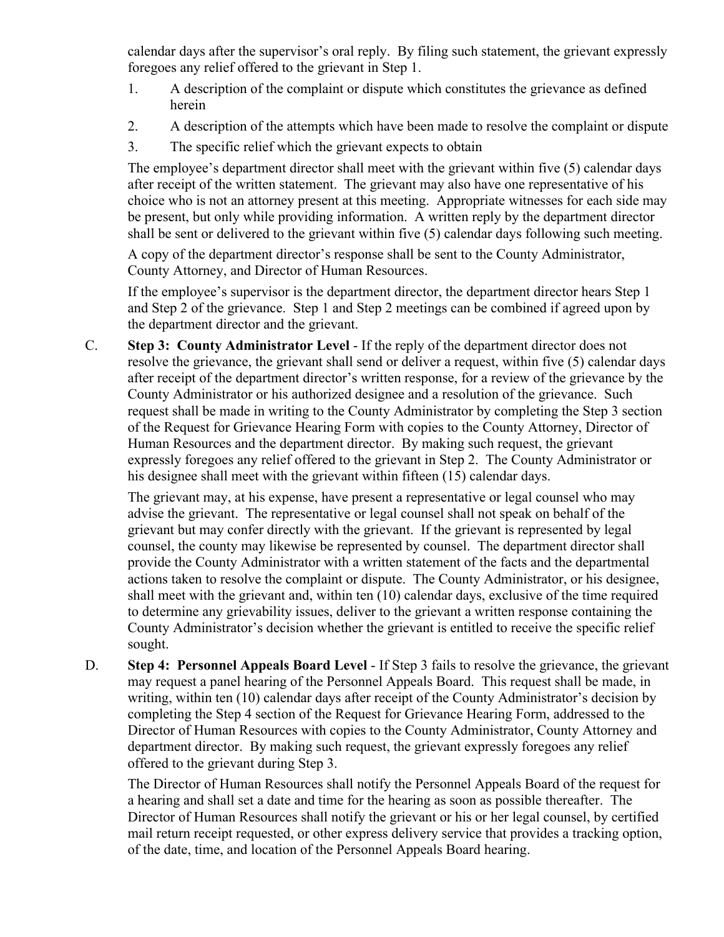calendar days after the supervisor's oral reply. By filing such statement, the grievant expressly foregoes any relief offered to the grievant in Step 1.

- 1. A description of the complaint or dispute which constitutes the grievance as defined herein
- 2. A description of the attempts which have been made to resolve the complaint or dispute
- 3. The specific relief which the grievant expects to obtain

The employee's department director shall meet with the grievant within five (5) calendar days after receipt of the written statement. The grievant may also have one representative of his choice who is not an attorney present at this meeting. Appropriate witnesses for each side may be present, but only while providing information. A written reply by the department director shall be sent or delivered to the grievant within five (5) calendar days following such meeting.

A copy of the department director's response shall be sent to the County Administrator, County Attorney, and Director of Human Resources.

If the employee's supervisor is the department director, the department director hears Step 1 and Step 2 of the grievance. Step 1 and Step 2 meetings can be combined if agreed upon by the department director and the grievant.

C. **Step 3: County Administrator Level** - If the reply of the department director does not resolve the grievance, the grievant shall send or deliver a request, within five (5) calendar days after receipt of the department director's written response, for a review of the grievance by the County Administrator or his authorized designee and a resolution of the grievance. Such request shall be made in writing to the County Administrator by completing the Step 3 section of the Request for Grievance Hearing Form with copies to the County Attorney, Director of Human Resources and the department director. By making such request, the grievant expressly foregoes any relief offered to the grievant in Step 2. The County Administrator or his designee shall meet with the grievant within fifteen (15) calendar days.

The grievant may, at his expense, have present a representative or legal counsel who may advise the grievant. The representative or legal counsel shall not speak on behalf of the grievant but may confer directly with the grievant. If the grievant is represented by legal counsel, the county may likewise be represented by counsel. The department director shall provide the County Administrator with a written statement of the facts and the departmental actions taken to resolve the complaint or dispute. The County Administrator, or his designee, shall meet with the grievant and, within ten (10) calendar days, exclusive of the time required to determine any grievability issues, deliver to the grievant a written response containing the County Administrator's decision whether the grievant is entitled to receive the specific relief sought.

D. **Step 4: Personnel Appeals Board Level** - If Step 3 fails to resolve the grievance, the grievant may request a panel hearing of the Personnel Appeals Board. This request shall be made, in writing, within ten (10) calendar days after receipt of the County Administrator's decision by completing the Step 4 section of the Request for Grievance Hearing Form, addressed to the Director of Human Resources with copies to the County Administrator, County Attorney and department director. By making such request, the grievant expressly foregoes any relief offered to the grievant during Step 3.

The Director of Human Resources shall notify the Personnel Appeals Board of the request for a hearing and shall set a date and time for the hearing as soon as possible thereafter. The Director of Human Resources shall notify the grievant or his or her legal counsel, by certified mail return receipt requested, or other express delivery service that provides a tracking option, of the date, time, and location of the Personnel Appeals Board hearing.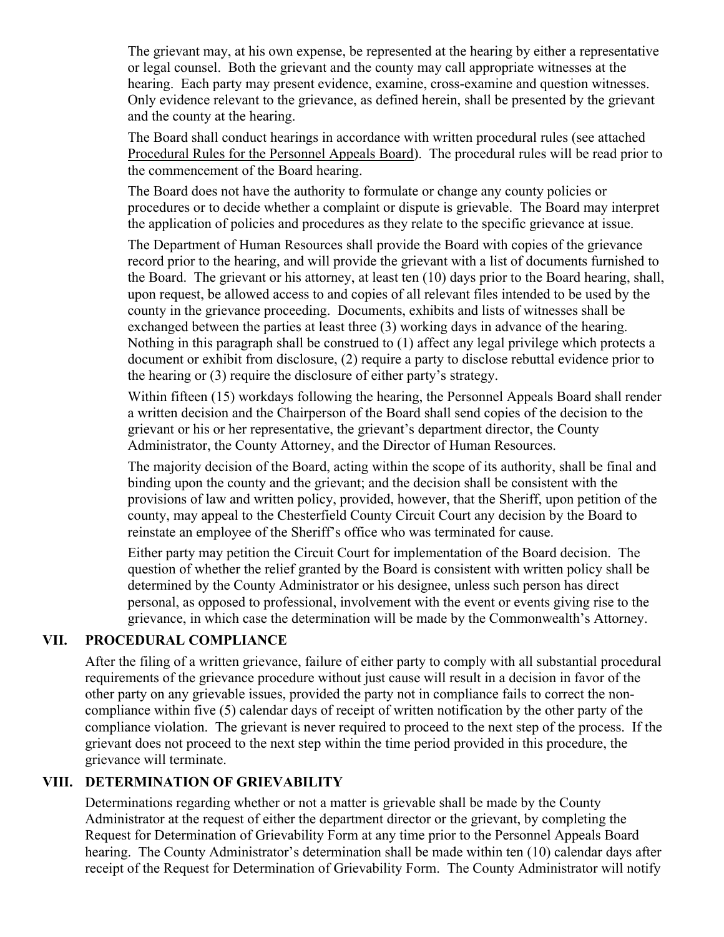The grievant may, at his own expense, be represented at the hearing by either a representative or legal counsel. Both the grievant and the county may call appropriate witnesses at the hearing. Each party may present evidence, examine, cross-examine and question witnesses. Only evidence relevant to the grievance, as defined herein, shall be presented by the grievant and the county at the hearing.

The Board shall conduct hearings in accordance with written procedural rules (see attached Procedural Rules for the Personnel Appeals Board). The procedural rules will be read prior to the commencement of the Board hearing.

The Board does not have the authority to formulate or change any county policies or procedures or to decide whether a complaint or dispute is grievable. The Board may interpret the application of policies and procedures as they relate to the specific grievance at issue.

The Department of Human Resources shall provide the Board with copies of the grievance record prior to the hearing, and will provide the grievant with a list of documents furnished to the Board. The grievant or his attorney, at least ten (10) days prior to the Board hearing, shall, upon request, be allowed access to and copies of all relevant files intended to be used by the county in the grievance proceeding. Documents, exhibits and lists of witnesses shall be exchanged between the parties at least three (3) working days in advance of the hearing. Nothing in this paragraph shall be construed to (1) affect any legal privilege which protects a document or exhibit from disclosure, (2) require a party to disclose rebuttal evidence prior to the hearing or (3) require the disclosure of either party's strategy.

Within fifteen (15) workdays following the hearing, the Personnel Appeals Board shall render a written decision and the Chairperson of the Board shall send copies of the decision to the grievant or his or her representative, the grievant's department director, the County Administrator, the County Attorney, and the Director of Human Resources.

The majority decision of the Board, acting within the scope of its authority, shall be final and binding upon the county and the grievant; and the decision shall be consistent with the provisions of law and written policy, provided, however, that the Sheriff, upon petition of the county, may appeal to the Chesterfield County Circuit Court any decision by the Board to reinstate an employee of the Sheriff's office who was terminated for cause.

Either party may petition the Circuit Court for implementation of the Board decision. The question of whether the relief granted by the Board is consistent with written policy shall be determined by the County Administrator or his designee, unless such person has direct personal, as opposed to professional, involvement with the event or events giving rise to the grievance, in which case the determination will be made by the Commonwealth's Attorney.

# **VII. PROCEDURAL COMPLIANCE**

After the filing of a written grievance, failure of either party to comply with all substantial procedural requirements of the grievance procedure without just cause will result in a decision in favor of the other party on any grievable issues, provided the party not in compliance fails to correct the noncompliance within five (5) calendar days of receipt of written notification by the other party of the compliance violation. The grievant is never required to proceed to the next step of the process. If the grievant does not proceed to the next step within the time period provided in this procedure, the grievance will terminate.

# **VIII. DETERMINATION OF GRIEVABILITY**

Determinations regarding whether or not a matter is grievable shall be made by the County Administrator at the request of either the department director or the grievant, by completing the Request for Determination of Grievability Form at any time prior to the Personnel Appeals Board hearing. The County Administrator's determination shall be made within ten (10) calendar days after receipt of the Request for Determination of Grievability Form. The County Administrator will notify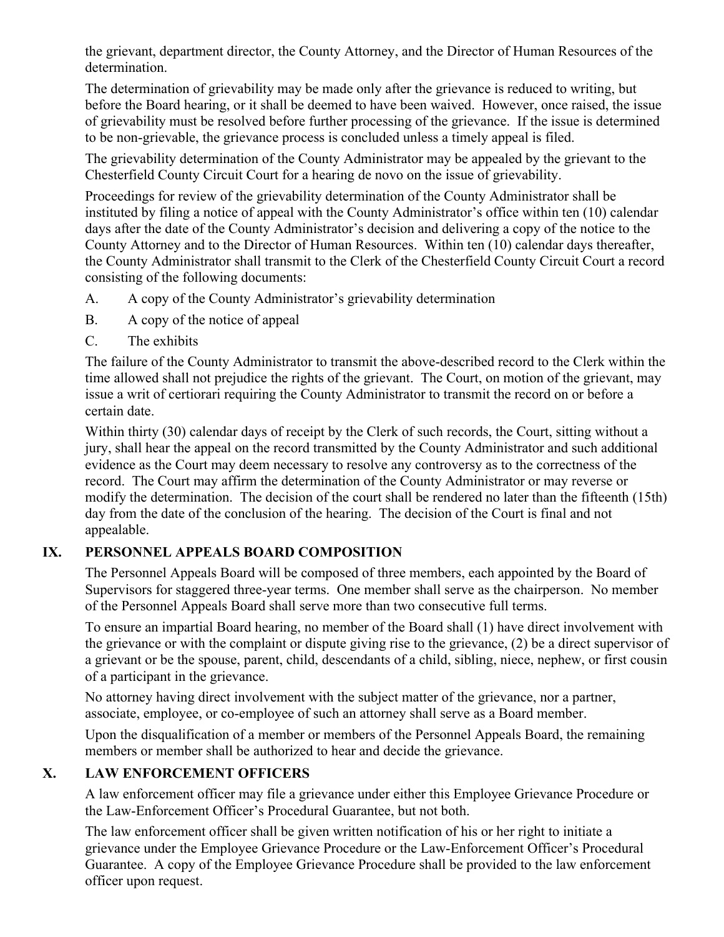the grievant, department director, the County Attorney, and the Director of Human Resources of the determination.

The determination of grievability may be made only after the grievance is reduced to writing, but before the Board hearing, or it shall be deemed to have been waived. However, once raised, the issue of grievability must be resolved before further processing of the grievance. If the issue is determined to be non-grievable, the grievance process is concluded unless a timely appeal is filed.

The grievability determination of the County Administrator may be appealed by the grievant to the Chesterfield County Circuit Court for a hearing de novo on the issue of grievability.

Proceedings for review of the grievability determination of the County Administrator shall be instituted by filing a notice of appeal with the County Administrator's office within ten (10) calendar days after the date of the County Administrator's decision and delivering a copy of the notice to the County Attorney and to the Director of Human Resources. Within ten (10) calendar days thereafter, the County Administrator shall transmit to the Clerk of the Chesterfield County Circuit Court a record consisting of the following documents:

- A. A copy of the County Administrator's grievability determination
- B. A copy of the notice of appeal
- C. The exhibits

The failure of the County Administrator to transmit the above-described record to the Clerk within the time allowed shall not prejudice the rights of the grievant. The Court, on motion of the grievant, may issue a writ of certiorari requiring the County Administrator to transmit the record on or before a certain date.

Within thirty (30) calendar days of receipt by the Clerk of such records, the Court, sitting without a jury, shall hear the appeal on the record transmitted by the County Administrator and such additional evidence as the Court may deem necessary to resolve any controversy as to the correctness of the record. The Court may affirm the determination of the County Administrator or may reverse or modify the determination. The decision of the court shall be rendered no later than the fifteenth (15th) day from the date of the conclusion of the hearing. The decision of the Court is final and not appealable.

# **IX. PERSONNEL APPEALS BOARD COMPOSITION**

The Personnel Appeals Board will be composed of three members, each appointed by the Board of Supervisors for staggered three-year terms. One member shall serve as the chairperson. No member of the Personnel Appeals Board shall serve more than two consecutive full terms.

To ensure an impartial Board hearing, no member of the Board shall (1) have direct involvement with the grievance or with the complaint or dispute giving rise to the grievance, (2) be a direct supervisor of a grievant or be the spouse, parent, child, descendants of a child, sibling, niece, nephew, or first cousin of a participant in the grievance.

No attorney having direct involvement with the subject matter of the grievance, nor a partner, associate, employee, or co-employee of such an attorney shall serve as a Board member.

Upon the disqualification of a member or members of the Personnel Appeals Board, the remaining members or member shall be authorized to hear and decide the grievance.

# **X. LAW ENFORCEMENT OFFICERS**

A law enforcement officer may file a grievance under either this Employee Grievance Procedure or the Law-Enforcement Officer's Procedural Guarantee, but not both.

The law enforcement officer shall be given written notification of his or her right to initiate a grievance under the Employee Grievance Procedure or the Law-Enforcement Officer's Procedural Guarantee. A copy of the Employee Grievance Procedure shall be provided to the law enforcement officer upon request.